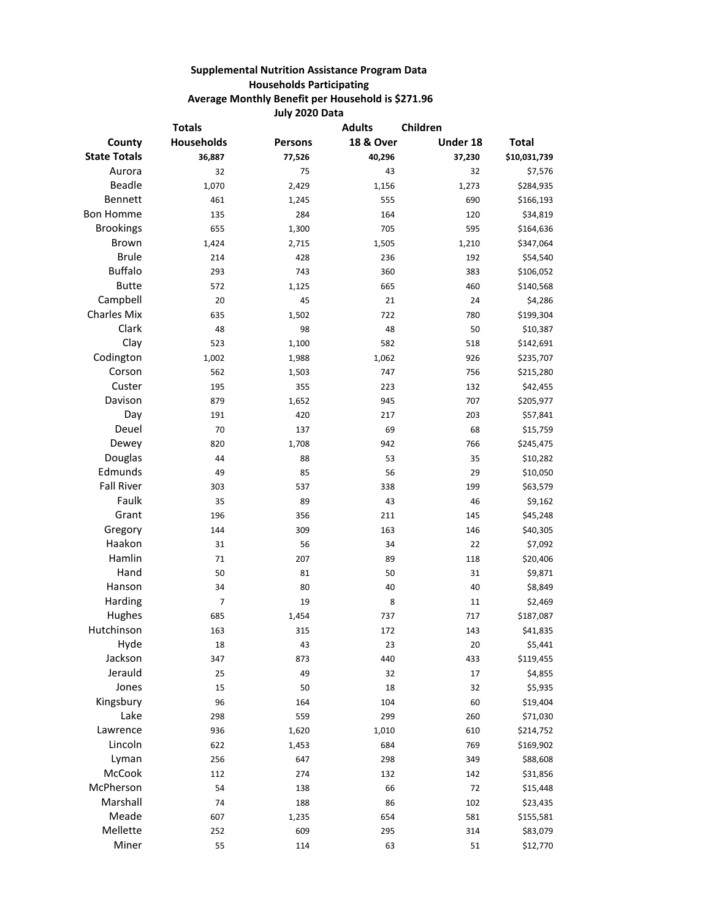## **Supplemental Nutrition Assistance Program Data Households Participating Average Monthly Benefit per Household is \$271.96 July 2020 Data**

| <b>Totals</b>       |                   |                | Children<br><b>Adults</b> |          |              |
|---------------------|-------------------|----------------|---------------------------|----------|--------------|
| County              | <b>Households</b> | <b>Persons</b> | <b>18 &amp; Over</b>      | Under 18 | <b>Total</b> |
| <b>State Totals</b> | 36,887            | 77,526         | 40,296                    | 37,230   | \$10,031,739 |
| Aurora              | 32                | 75             | 43                        | 32       | \$7,576      |
| Beadle              | 1,070             | 2,429          | 1,156                     | 1,273    | \$284,935    |
| Bennett             | 461               | 1,245          | 555                       | 690      | \$166,193    |
| <b>Bon Homme</b>    | 135               | 284            | 164                       | 120      | \$34,819     |
| <b>Brookings</b>    | 655               | 1,300          | 705                       | 595      | \$164,636    |
| <b>Brown</b>        | 1,424             | 2,715          | 1,505                     | 1,210    | \$347,064    |
| <b>Brule</b>        | 214               | 428            | 236                       | 192      | \$54,540     |
| <b>Buffalo</b>      | 293               | 743            | 360                       | 383      | \$106,052    |
| <b>Butte</b>        | 572               | 1,125          | 665                       | 460      | \$140,568    |
| Campbell            | 20                | 45             | 21                        | 24       | \$4,286      |
| <b>Charles Mix</b>  | 635               | 1,502          | 722                       | 780      | \$199,304    |
| Clark               | 48                | 98             | 48                        | 50       | \$10,387     |
| Clay                | 523               | 1,100          | 582                       | 518      | \$142,691    |
| Codington           | 1,002             | 1,988          | 1,062                     | 926      | \$235,707    |
| Corson              | 562               | 1,503          | 747                       | 756      | \$215,280    |
| Custer              | 195               | 355            | 223                       | 132      | \$42,455     |
| Davison             | 879               | 1,652          | 945                       | 707      | \$205,977    |
| Day                 | 191               | 420            | 217                       | 203      | \$57,841     |
| Deuel               | 70                | 137            | 69                        | 68       | \$15,759     |
| Dewey               | 820               | 1,708          | 942                       | 766      | \$245,475    |
| Douglas             | 44                | 88             | 53                        | 35       | \$10,282     |
| Edmunds             | 49                | 85             | 56                        | 29       | \$10,050     |
| <b>Fall River</b>   | 303               | 537            | 338                       | 199      | \$63,579     |
| Faulk               | 35                | 89             | 43                        | 46       | \$9,162      |
| Grant               | 196               | 356            | 211                       | 145      | \$45,248     |
| Gregory             | 144               | 309            | 163                       | 146      | \$40,305     |
| Haakon              | 31                | 56             | 34                        | 22       | \$7,092      |
| Hamlin              | 71                | 207            | 89                        | 118      | \$20,406     |
| Hand                | 50                | 81             | 50                        | 31       | \$9,871      |
| Hanson              | 34                | 80             | 40                        | 40       | \$8,849      |
| Harding             | 7                 | 19             | 8                         | 11       | \$2,469      |
| Hughes              | 685               | 1,454          | 737                       | 717      | \$187,087    |
| Hutchinson          | 163               | 315            | 172                       | 143      | \$41,835     |
| Hyde                | 18                | 43             | 23                        | 20       | \$5,441      |
| Jackson             | 347               | 873            | 440                       | 433      | \$119,455    |
| Jerauld             | 25                | 49             | 32                        | 17       | \$4,855      |
| Jones               | 15                | 50             | 18                        | 32       | \$5,935      |
| Kingsbury           | 96                | 164            | 104                       | 60       | \$19,404     |
| Lake                | 298               | 559            | 299                       | 260      | \$71,030     |
| Lawrence            | 936               | 1,620          | 1,010                     | 610      | \$214,752    |
| Lincoln             | 622               | 1,453          | 684                       | 769      | \$169,902    |
| Lyman               | 256               | 647            | 298                       | 349      | \$88,608     |
| McCook              | 112               | 274            | 132                       | 142      | \$31,856     |
| McPherson           | 54                | 138            | 66                        | 72       | \$15,448     |
| Marshall            | 74                | 188            | 86                        | 102      | \$23,435     |
| Meade               | 607               | 1,235          | 654                       | 581      | \$155,581    |
| Mellette            | 252               | 609            | 295                       | 314      | \$83,079     |
| Miner               | 55                | 114            | 63                        | 51       | \$12,770     |